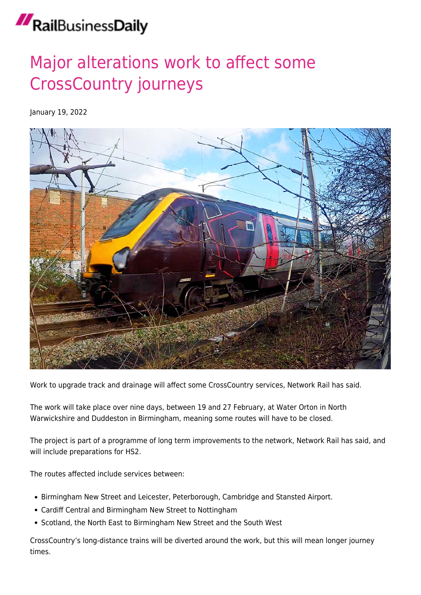## RailBusinessDaily

## [Major alterations work to affect some](https://news.railbusinessdaily.com/major-alterations-work-to-affect-some-crosscountry-journeys/) [CrossCountry journeys](https://news.railbusinessdaily.com/major-alterations-work-to-affect-some-crosscountry-journeys/)

January 19, 2022



Work to upgrade track and drainage will affect some CrossCountry services, Network Rail has said.

The work will take place over nine days, between 19 and 27 February, at Water Orton in North Warwickshire and Duddeston in Birmingham, meaning some routes will have to be closed.

The project is part of a programme of long term improvements to the network, Network Rail has said, and will include preparations for HS2.

The routes affected include services between:

- Birmingham New Street and Leicester, Peterborough, Cambridge and Stansted Airport.
- Cardiff Central and Birmingham New Street to Nottingham
- Scotland, the North East to Birmingham New Street and the South West

CrossCountry's long-distance trains will be diverted around the work, but this will mean longer journey times.